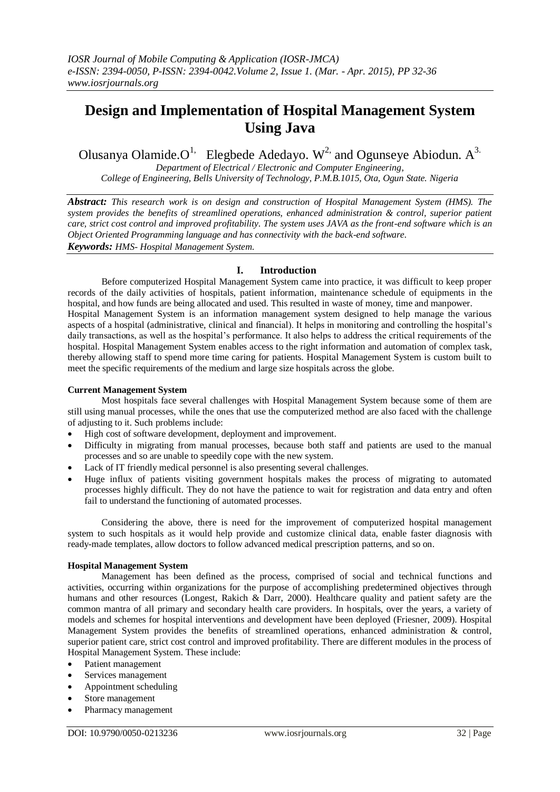# **Design and Implementation of Hospital Management System Using Java**

Olusanya Olamide. $O<sup>1</sup>$ . [Elegbede](mailto:olamide4jc@yahoo.com,%20Elegbede) Adedayo. W<sup>2,</sup> and Ogunseye Abiodun. A<sup>3.</sup>

*Department of Electrical / Electronic and Computer Engineering, College of Engineering, Bells University of Technology, P.M.B.1015, Ota, Ogun State. Nigeria*

*Abstract: This research work is on design and construction of Hospital Management System (HMS). The system provides the benefits of streamlined operations, enhanced administration & control, superior patient care, strict cost control and improved profitability. The system uses JAVA as the front-end software which is an Object Oriented Programming language and has connectivity with the back-end software. Keywords: HMS- Hospital Management System.*

## **I. Introduction**

Before computerized Hospital Management System came into practice, it was difficult to keep proper records of the daily activities of hospitals, patient information, maintenance schedule of equipments in the hospital, and how funds are being allocated and used. This resulted in waste of money, time and manpower. Hospital Management System is an information management system designed to help manage the various aspects of a hospital (administrative, clinical and financial). It helps in monitoring and controlling the hospital's daily transactions, as well as the hospital's performance. It also helps to address the critical requirements of the hospital. Hospital Management System enables access to the right information and automation of complex task, thereby allowing staff to spend more time caring for patients. Hospital Management System is custom built to meet the specific requirements of the medium and large size hospitals across the globe.

#### **Current Management System**

Most hospitals face several challenges with Hospital Management System because some of them are still using manual processes, while the ones that use the computerized method are also faced with the challenge of adjusting to it. Such problems include:

- High cost of software development, deployment and improvement.
- Difficulty in migrating from manual processes, because both staff and patients are used to the manual processes and so are unable to speedily cope with the new system.
- Lack of IT friendly medical personnel is also presenting several challenges.
- Huge influx of patients visiting government hospitals makes the process of migrating to automated processes highly difficult. They do not have the patience to wait for registration and data entry and often fail to understand the functioning of automated processes.

Considering the above, there is need for the improvement of computerized hospital management system to such hospitals as it would help provide and customize clinical data, enable faster diagnosis with ready-made templates, allow doctors to follow advanced medical prescription patterns, and so on.

#### **Hospital Management System**

Management has been defined as the process, comprised of social and technical functions and activities, occurring within organizations for the purpose of accomplishing predetermined objectives through humans and other resources (Longest, Rakich & Darr, 2000). Healthcare quality and patient safety are the common mantra of all primary and secondary health care providers. In hospitals, over the years, a variety of models and schemes for hospital interventions and development have been deployed (Friesner, 2009). Hospital Management System provides the benefits of streamlined operations, enhanced administration & control, superior patient care, strict cost control and improved profitability. There are different modules in the process of Hospital Management System. These include:

- Patient management
- Services management
- Appointment scheduling
- Store management
- Pharmacy management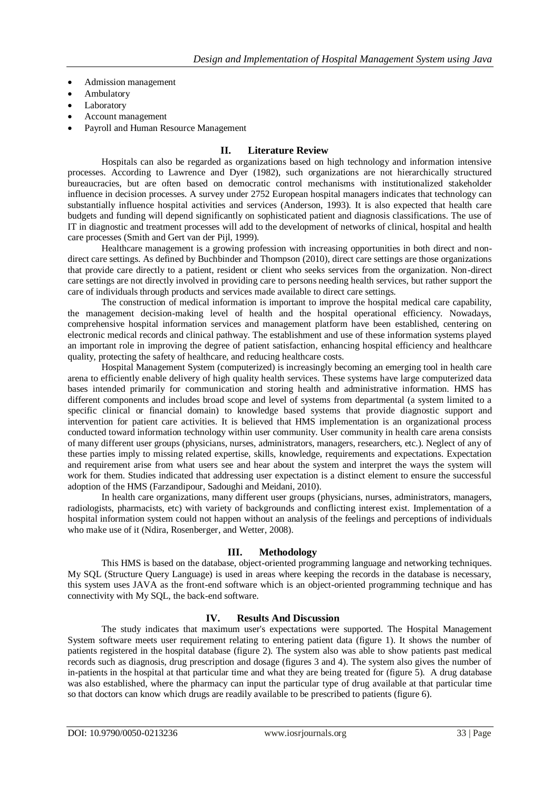- Admission management
- Ambulatory
- Laboratory
- Account management
- Payroll and Human Resource Management

### **II. Literature Review**

Hospitals can also be regarded as organizations based on high technology and information intensive processes. According to Lawrence and Dyer (1982), such organizations are not hierarchically structured bureaucracies, but are often based on democratic control mechanisms with institutionalized stakeholder influence in decision processes. A survey under 2752 European hospital managers indicates that technology can substantially influence hospital activities and services (Anderson, 1993). It is also expected that health care budgets and funding will depend significantly on sophisticated patient and diagnosis classifications. The use of IT in diagnostic and treatment processes will add to the development of networks of clinical, hospital and health care processes (Smith and Gert van der Pijl, 1999).

Healthcare management is a growing profession with increasing opportunities in both direct and nondirect care settings. As defined by Buchbinder and Thompson (2010), direct care settings are those organizations that provide care directly to a patient, resident or client who seeks services from the organization. Non-direct care settings are not directly involved in providing care to persons needing health services, but rather support the care of individuals through products and services made available to direct care settings.

The construction of medical information is important to improve the hospital medical care capability, the management decision-making level of health and the hospital operational efficiency. Nowadays, comprehensive hospital information services and management platform have been established, centering on electronic medical records and clinical pathway. The establishment and use of these information systems played an important role in improving the degree of patient satisfaction, enhancing hospital efficiency and healthcare quality, protecting the safety of healthcare, and reducing healthcare costs.

Hospital Management System (computerized) is increasingly becoming an emerging tool in health care arena to efficiently enable delivery of high quality health services. These systems have large computerized data bases intended primarily for communication and storing health and administrative information. HMS has different components and includes broad scope and level of systems from departmental (a system limited to a specific clinical or financial domain) to knowledge based systems that provide diagnostic support and intervention for patient care activities. It is believed that HMS implementation is an organizational process conducted toward information technology within user community. User community in health care arena consists of many different user groups (physicians, nurses, administrators, managers, researchers, etc.). Neglect of any of these parties imply to missing related expertise, skills, knowledge, requirements and expectations. Expectation and requirement arise from what users see and hear about the system and interpret the ways the system will work for them. Studies indicated that addressing user expectation is a distinct element to ensure the successful adoption of the HMS (Farzandipour, Sadoughi and Meidani, 2010).

In health care organizations, many different user groups (physicians, nurses, administrators, managers, radiologists, pharmacists, etc) with variety of backgrounds and conflicting interest exist. Implementation of a hospital information system could not happen without an analysis of the feelings and perceptions of individuals who make use of it (Ndira, Rosenberger, and Wetter, 2008).

#### **III. Methodology**

This HMS is based on the database, object-oriented programming language and networking techniques. My SQL (Structure Query Language) is used in areas where keeping the records in the database is necessary, this system uses JAVA as the front-end software which is an object-oriented programming technique and has connectivity with My SQL, the back-end software.

#### **IV. Results And Discussion**

The study indicates that maximum user's expectations were supported. The Hospital Management System software meets user requirement relating to entering patient data (figure 1). It shows the number of patients registered in the hospital database (figure 2). The system also was able to show patients past medical records such as diagnosis, drug prescription and dosage (figures 3 and 4). The system also gives the number of in-patients in the hospital at that particular time and what they are being treated for (figure 5). A drug database was also established, where the pharmacy can input the particular type of drug available at that particular time so that doctors can know which drugs are readily available to be prescribed to patients (figure 6).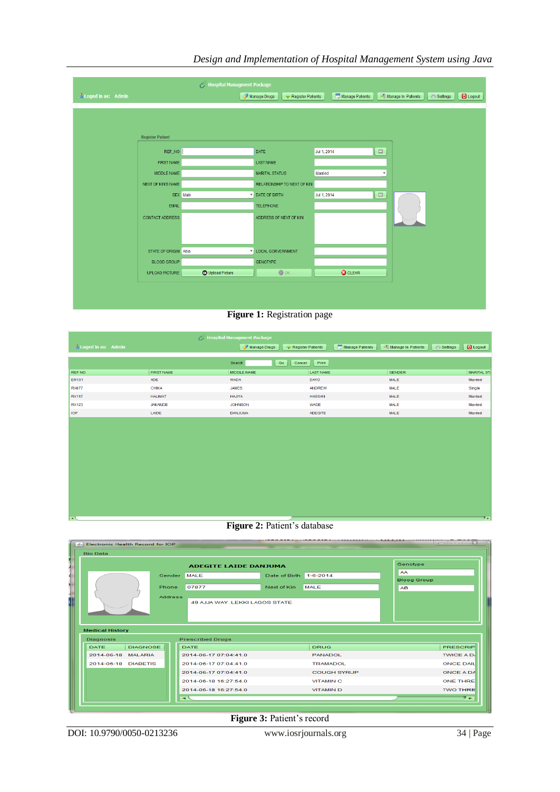

## *Design and Implementation of Hospital Management System using Java*

**Figure 1:** Registration page

| Hospital Managment Package  |                   |                                   |                  |                                |                    |  |  |  |  |  |
|-----------------------------|-------------------|-----------------------------------|------------------|--------------------------------|--------------------|--|--|--|--|--|
| <b>A</b> Loged in as: Admin |                   | Manage Drugs<br>Register Patients | Manage Patients  | Manage In Patients<br>Settings | <b>D</b> Logout    |  |  |  |  |  |
|                             |                   | Go<br>Cancel<br>Search            | Print            |                                |                    |  |  |  |  |  |
| REF NO                      | <b>FIRST NAME</b> | MIDDLE NAME                       | <b>LAST NAME</b> | <b>GENDER</b>                  | <b>MARITAL ST/</b> |  |  |  |  |  |
| <b>ER101</b>                | ADE               | <b>WADA</b>                       | <b>DAYO</b>      | MALE                           | Married            |  |  |  |  |  |
| <b>RX877</b>                | <b>CHIKA</b>      | <b>JAMES</b>                      | ANDREW           | MALE                           | Single             |  |  |  |  |  |
| <b>RX117</b>                | <b>HALIMAT</b>    | <b>HAJIYA</b>                     | <b>HASSAN</b>    | MALE                           | Married            |  |  |  |  |  |
| <b>RX123</b>                | <b>JAKANDE</b>    | <b>JOHNSON</b>                    | <b>WADE</b>      | MALE                           | Married            |  |  |  |  |  |
| <b>IOP</b>                  | LAIDE             | <b>DANJUMA</b>                    | <b>ADEGITE</b>   | MALE                           | Married            |  |  |  |  |  |
|                             |                   |                                   |                  |                                |                    |  |  |  |  |  |
|                             |                   |                                   |                  |                                |                    |  |  |  |  |  |
|                             |                   |                                   |                  |                                |                    |  |  |  |  |  |
|                             |                   |                                   |                  |                                |                    |  |  |  |  |  |
|                             |                   |                                   |                  |                                |                    |  |  |  |  |  |
|                             |                   |                                   |                  |                                |                    |  |  |  |  |  |

### **Figure 2:** Patient's database



**Figure 3:** Patient's record

DOI: 10.9790/0050-0213236 www.iosrjournals.org 34 | Page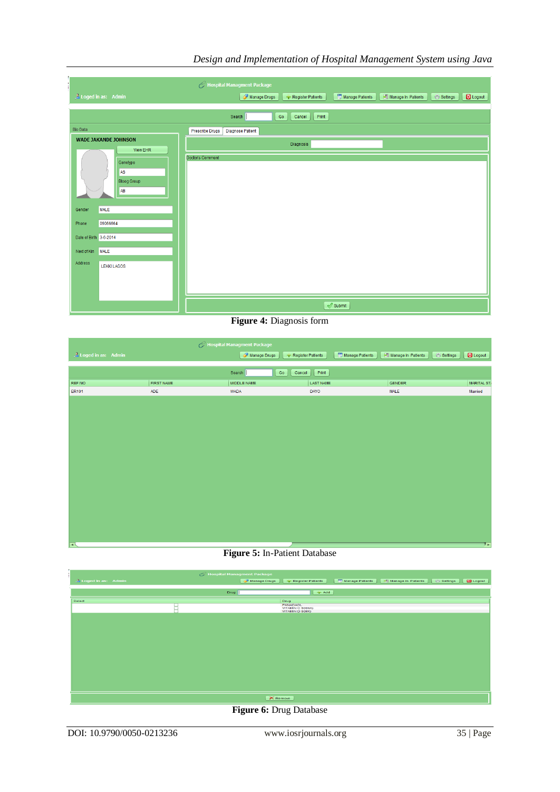| Hospital Managment Package                                                                                                                                                               |                                                                                                  |  |  |  |  |  |  |  |  |  |
|------------------------------------------------------------------------------------------------------------------------------------------------------------------------------------------|--------------------------------------------------------------------------------------------------|--|--|--|--|--|--|--|--|--|
| <b><i>A</i></b> Loged in as: Admin                                                                                                                                                       | Manage Patients<br>Manage Drugs<br>Logout<br>Manage In Patients<br>Settings<br>Register Patients |  |  |  |  |  |  |  |  |  |
|                                                                                                                                                                                          | Print<br>Co<br>Search<br>Cancel                                                                  |  |  |  |  |  |  |  |  |  |
| <b>Bio Data</b>                                                                                                                                                                          | Diagnose Patient<br>Prescribe Drugs                                                              |  |  |  |  |  |  |  |  |  |
| <b>WADE JAKANDE JOHNSON</b><br><b>View EHR</b>                                                                                                                                           | Diagnosis                                                                                        |  |  |  |  |  |  |  |  |  |
| Genotype<br><b>AS</b><br><b>Bloog Group</b><br>AB<br><b>MALE</b><br>Gender<br>09066664<br>Phone<br>Date of Birth 3-6-2014<br><b>MALE</b><br>Next of Kin<br>Address<br><b>LEKKI LAGOS</b> | Doctor's Comment                                                                                 |  |  |  |  |  |  |  |  |  |
|                                                                                                                                                                                          | $\sqrt{\ }$ Submit                                                                               |  |  |  |  |  |  |  |  |  |

## *Design and Implementation of Hospital Management System using Java*

**Figure 4:** Diagnosis form

| Hospital Managment Package       |            |              |                   |                 |                    |          |            |  |  |
|----------------------------------|------------|--------------|-------------------|-----------------|--------------------|----------|------------|--|--|
| $\mathcal{L}$ Loged in as: Admin |            | Manage Drugs | Register Patients | Manage Patients | Manage In Patients | Settings | Logout     |  |  |
|                                  |            |              |                   |                 |                    |          |            |  |  |
|                                  |            | Go<br>Search | Print<br>Cancel   |                 |                    |          |            |  |  |
| REF NO                           | FIRST NAME | MIDDLE NAME  | <b>LAST NAME</b>  |                 | GENDER             |          | MARITAL ST |  |  |
| <b>ER101</b>                     | ADE        | WADA         | <b>DAYO</b>       |                 | <b>MALE</b>        |          | Married    |  |  |
|                                  |            |              |                   |                 |                    |          |            |  |  |
|                                  |            |              |                   |                 |                    |          |            |  |  |
|                                  |            |              |                   |                 |                    |          |            |  |  |
|                                  |            |              |                   |                 |                    |          |            |  |  |
|                                  |            |              |                   |                 |                    |          |            |  |  |
|                                  |            |              |                   |                 |                    |          |            |  |  |
|                                  |            |              |                   |                 |                    |          |            |  |  |
|                                  |            |              |                   |                 |                    |          |            |  |  |
|                                  |            |              |                   |                 |                    |          |            |  |  |
|                                  |            |              |                   |                 |                    |          |            |  |  |
|                                  |            |              |                   |                 |                    |          |            |  |  |
|                                  |            |              |                   |                 |                    |          |            |  |  |
|                                  |            |              |                   |                 |                    |          |            |  |  |
|                                  |            |              |                   |                 |                    |          |            |  |  |
|                                  |            |              |                   |                 |                    |          |            |  |  |
|                                  |            |              |                   |                 |                    |          |            |  |  |
| $\overline{\phantom{a}}$         |            |              |                   |                 |                    |          | フェ         |  |  |

**Figure 5:** In-Patient Database



**Figure 6:** Drug Database